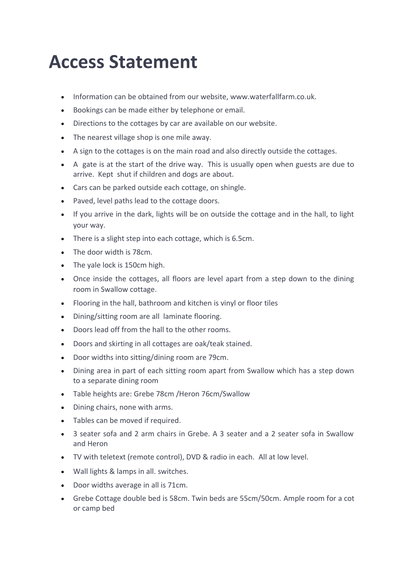## **Access Statement**

- Information can be obtained from our website, www.waterfallfarm.co.uk.
- Bookings can be made either by telephone or email.
- Directions to the cottages by car are available on our website.
- $\bullet$  The nearest village shop is one mile away.
- A sign to the cottages is on the main road and also directly outside the cottages.
- A gate is at the start of the drive way. This is usually open when guests are due to arrive. Kept shut if children and dogs are about.
- Cars can be parked outside each cottage, on shingle.
- Paved, level paths lead to the cottage doors.
- If you arrive in the dark, lights will be on outside the cottage and in the hall, to light your way.
- There is a slight step into each cottage, which is 6.5cm.
- The door width is 78cm.
- The yale lock is 150cm high.
- Once inside the cottages, all floors are level apart from a step down to the dining room in Swallow cottage.
- Flooring in the hall, bathroom and kitchen is vinyl or floor tiles
- Dining/sitting room are all laminate flooring.
- Doors lead off from the hall to the other rooms.
- Doors and skirting in all cottages are oak/teak stained.
- Door widths into sitting/dining room are 79cm.
- Dining area in part of each sitting room apart from Swallow which has a step down to a separate dining room
- Table heights are: Grebe 78cm /Heron 76cm/Swallow
- Dining chairs, none with arms.
- Tables can be moved if required.
- 3 seater sofa and 2 arm chairs in Grebe. A 3 seater and a 2 seater sofa in Swallow and Heron
- TV with teletext (remote control), DVD & radio in each. All at low level.
- $\bullet$  Wall lights & lamps in all. switches.
- Door widths average in all is 71cm.
- Grebe Cottage double bed is 58cm. Twin beds are 55cm/50cm. Ample room for a cot or camp bed